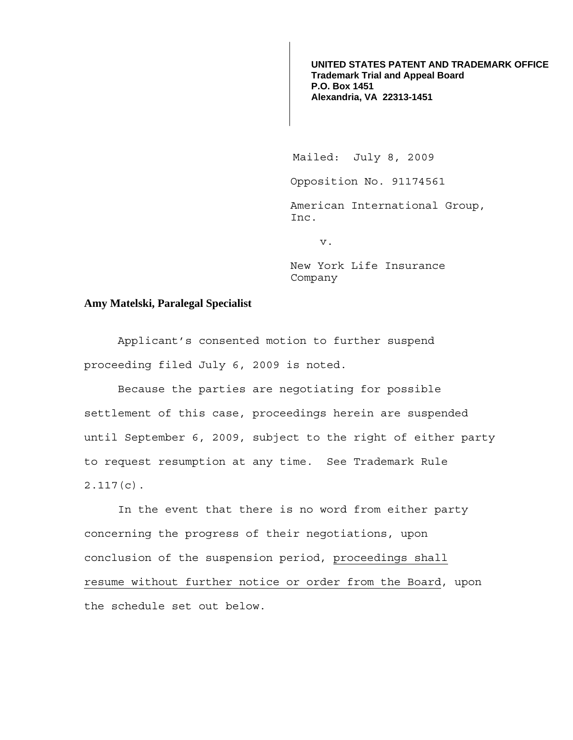**UNITED STATES PATENT AND TRADEMARK OFFICE Trademark Trial and Appeal Board P.O. Box 1451 Alexandria, VA 22313-1451**

Mailed: July 8, 2009

Opposition No. 91174561

American International Group, Inc.

v.

New York Life Insurance Company

## **Amy Matelski, Paralegal Specialist**

Applicant's consented motion to further suspend proceeding filed July 6, 2009 is noted.

Because the parties are negotiating for possible settlement of this case, proceedings herein are suspended until September 6, 2009, subject to the right of either party to request resumption at any time. See Trademark Rule 2.117(c).

 In the event that there is no word from either party concerning the progress of their negotiations, upon conclusion of the suspension period, proceedings shall resume without further notice or order from the Board, upon the schedule set out below.